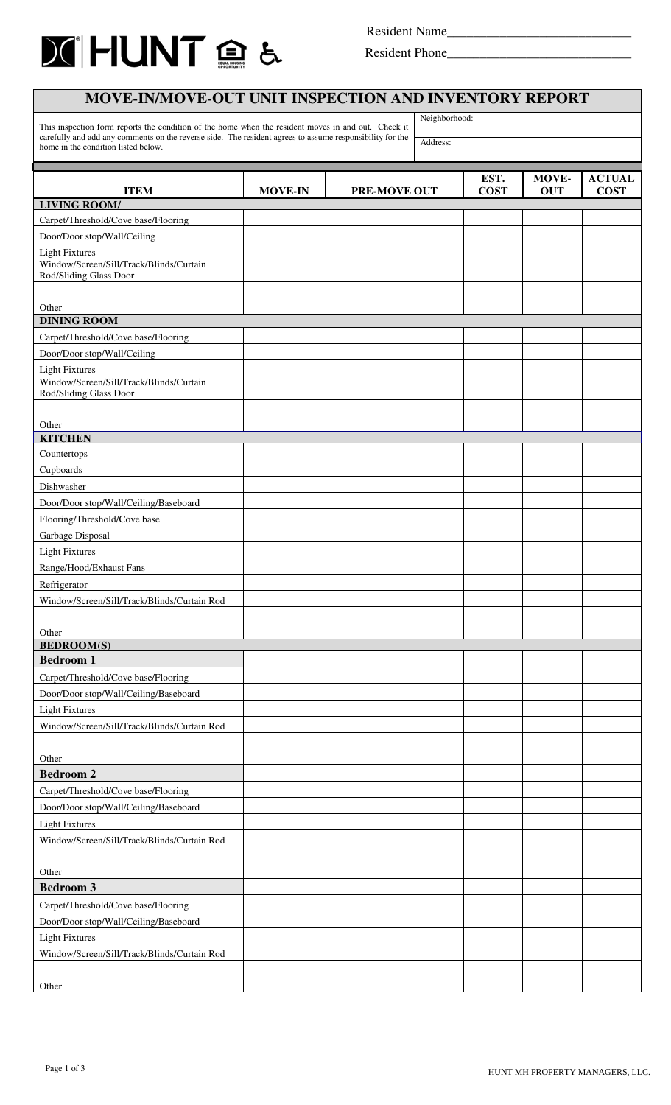

 $\mathbf{r}$ 

Resident Name\_\_\_\_\_\_\_\_\_\_\_\_\_\_\_\_\_\_\_\_\_\_\_\_\_\_\_\_

Resident Phone\_\_\_\_\_\_\_\_\_\_\_\_\_\_\_\_\_\_\_\_\_\_\_\_\_\_\_\_

| <b>MOVE-IN/MOVE-OUT UNIT INSPECTION AND INVENTORY REPORT</b>                                                                                    |                |                     |               |             |            |               |
|-------------------------------------------------------------------------------------------------------------------------------------------------|----------------|---------------------|---------------|-------------|------------|---------------|
| This inspection form reports the condition of the home when the resident moves in and out. Check it                                             |                |                     | Neighborhood: |             |            |               |
| carefully and add any comments on the reverse side. The resident agrees to assume responsibility for the<br>home in the condition listed below. |                |                     | Address:      |             |            |               |
|                                                                                                                                                 |                |                     |               |             |            |               |
|                                                                                                                                                 |                |                     |               | EST.        | MOVE-      | <b>ACTUAL</b> |
| <b>ITEM</b>                                                                                                                                     | <b>MOVE-IN</b> | <b>PRE-MOVE OUT</b> |               | <b>COST</b> | <b>OUT</b> | <b>COST</b>   |
| <b>LIVING ROOM/</b>                                                                                                                             |                |                     |               |             |            |               |
| Carpet/Threshold/Cove base/Flooring                                                                                                             |                |                     |               |             |            |               |
| Door/Door stop/Wall/Ceiling                                                                                                                     |                |                     |               |             |            |               |
| <b>Light Fixtures</b><br>Window/Screen/Sill/Track/Blinds/Curtain                                                                                |                |                     |               |             |            |               |
| Rod/Sliding Glass Door                                                                                                                          |                |                     |               |             |            |               |
|                                                                                                                                                 |                |                     |               |             |            |               |
| Other                                                                                                                                           |                |                     |               |             |            |               |
| <b>DINING ROOM</b>                                                                                                                              |                |                     |               |             |            |               |
| Carpet/Threshold/Cove base/Flooring                                                                                                             |                |                     |               |             |            |               |
| Door/Door stop/Wall/Ceiling                                                                                                                     |                |                     |               |             |            |               |
| <b>Light Fixtures</b><br>Window/Screen/Sill/Track/Blinds/Curtain                                                                                |                |                     |               |             |            |               |
| Rod/Sliding Glass Door                                                                                                                          |                |                     |               |             |            |               |
|                                                                                                                                                 |                |                     |               |             |            |               |
| Other                                                                                                                                           |                |                     |               |             |            |               |
| <b>KITCHEN</b>                                                                                                                                  |                |                     |               |             |            |               |
| Countertops                                                                                                                                     |                |                     |               |             |            |               |
| Cupboards                                                                                                                                       |                |                     |               |             |            |               |
| Dishwasher                                                                                                                                      |                |                     |               |             |            |               |
| Door/Door stop/Wall/Ceiling/Baseboard                                                                                                           |                |                     |               |             |            |               |
| Flooring/Threshold/Cove base                                                                                                                    |                |                     |               |             |            |               |
| Garbage Disposal                                                                                                                                |                |                     |               |             |            |               |
| <b>Light Fixtures</b>                                                                                                                           |                |                     |               |             |            |               |
| Range/Hood/Exhaust Fans                                                                                                                         |                |                     |               |             |            |               |
| Refrigerator                                                                                                                                    |                |                     |               |             |            |               |
| Window/Screen/Sill/Track/Blinds/Curtain Rod                                                                                                     |                |                     |               |             |            |               |
|                                                                                                                                                 |                |                     |               |             |            |               |
| Other                                                                                                                                           |                |                     |               |             |            |               |
| <b>BEDROOM(S)</b>                                                                                                                               |                |                     |               |             |            |               |
| <b>Bedroom 1</b>                                                                                                                                |                |                     |               |             |            |               |
| Carpet/Threshold/Cove base/Flooring                                                                                                             |                |                     |               |             |            |               |
| Door/Door stop/Wall/Ceiling/Baseboard                                                                                                           |                |                     |               |             |            |               |
| <b>Light Fixtures</b>                                                                                                                           |                |                     |               |             |            |               |
| Window/Screen/Sill/Track/Blinds/Curtain Rod                                                                                                     |                |                     |               |             |            |               |
|                                                                                                                                                 |                |                     |               |             |            |               |
| Other<br><b>Bedroom 2</b>                                                                                                                       |                |                     |               |             |            |               |
|                                                                                                                                                 |                |                     |               |             |            |               |
| Carpet/Threshold/Cove base/Flooring                                                                                                             |                |                     |               |             |            |               |
| Door/Door stop/Wall/Ceiling/Baseboard                                                                                                           |                |                     |               |             |            |               |
| <b>Light Fixtures</b><br>Window/Screen/Sill/Track/Blinds/Curtain Rod                                                                            |                |                     |               |             |            |               |
|                                                                                                                                                 |                |                     |               |             |            |               |
|                                                                                                                                                 |                |                     |               |             |            |               |
| Other<br><b>Bedroom 3</b>                                                                                                                       |                |                     |               |             |            |               |
|                                                                                                                                                 |                |                     |               |             |            |               |
| Carpet/Threshold/Cove base/Flooring                                                                                                             |                |                     |               |             |            |               |
| Door/Door stop/Wall/Ceiling/Baseboard<br><b>Light Fixtures</b>                                                                                  |                |                     |               |             |            |               |
| Window/Screen/Sill/Track/Blinds/Curtain Rod                                                                                                     |                |                     |               |             |            |               |
|                                                                                                                                                 |                |                     |               |             |            |               |
| Other                                                                                                                                           |                |                     |               |             |            |               |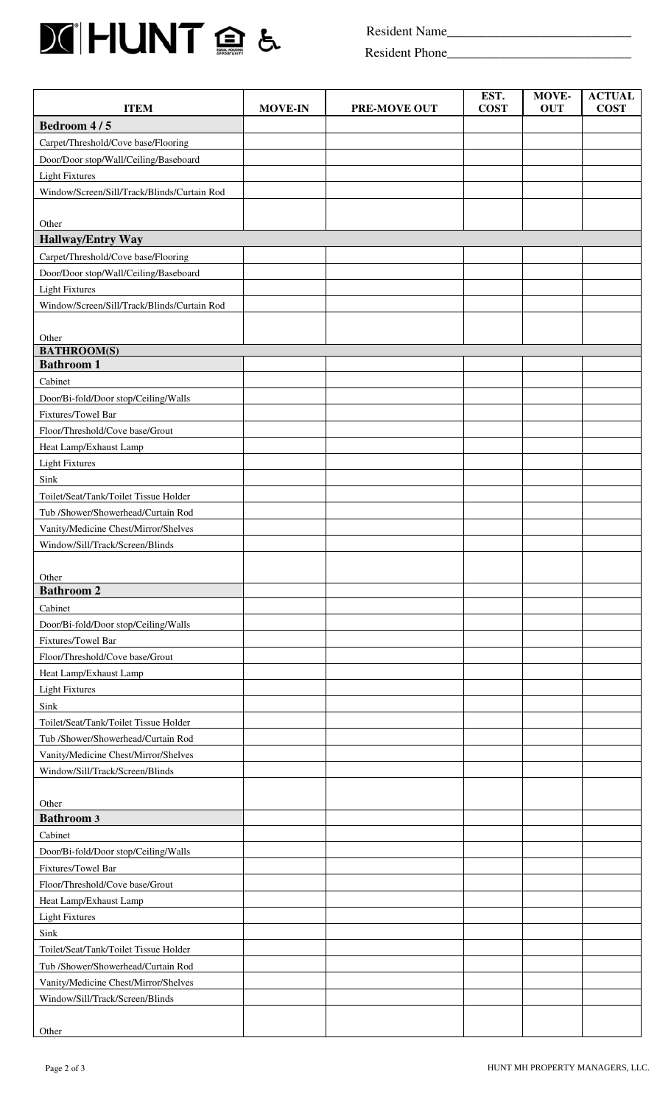

Resident Name\_\_\_\_\_\_\_\_\_\_\_\_\_\_\_\_\_\_\_\_\_\_\_\_\_\_\_\_

Resident Phone\_\_\_\_\_\_\_\_\_\_\_\_\_\_\_\_\_\_\_\_\_\_\_\_\_\_\_\_

| <b>ITEM</b>                                 | <b>MOVE-IN</b> | <b>PRE-MOVE OUT</b> | EST.<br><b>COST</b> | MOVE-<br><b>OUT</b> | <b>ACTUAL</b><br><b>COST</b> |
|---------------------------------------------|----------------|---------------------|---------------------|---------------------|------------------------------|
| Bedroom 4/5                                 |                |                     |                     |                     |                              |
| Carpet/Threshold/Cove base/Flooring         |                |                     |                     |                     |                              |
| Door/Door stop/Wall/Ceiling/Baseboard       |                |                     |                     |                     |                              |
| <b>Light Fixtures</b>                       |                |                     |                     |                     |                              |
| Window/Screen/Sill/Track/Blinds/Curtain Rod |                |                     |                     |                     |                              |
|                                             |                |                     |                     |                     |                              |
| Other                                       |                |                     |                     |                     |                              |
| <b>Hallway/Entry Way</b>                    |                |                     |                     |                     |                              |
| Carpet/Threshold/Cove base/Flooring         |                |                     |                     |                     |                              |
| Door/Door stop/Wall/Ceiling/Baseboard       |                |                     |                     |                     |                              |
| <b>Light Fixtures</b>                       |                |                     |                     |                     |                              |
| Window/Screen/Sill/Track/Blinds/Curtain Rod |                |                     |                     |                     |                              |
|                                             |                |                     |                     |                     |                              |
| Other                                       |                |                     |                     |                     |                              |
| <b>BATHROOM(S)</b>                          |                |                     |                     |                     |                              |
| <b>Bathroom 1</b>                           |                |                     |                     |                     |                              |
| Cabinet                                     |                |                     |                     |                     |                              |
| Door/Bi-fold/Door stop/Ceiling/Walls        |                |                     |                     |                     |                              |
| Fixtures/Towel Bar                          |                |                     |                     |                     |                              |
| Floor/Threshold/Cove base/Grout             |                |                     |                     |                     |                              |
| Heat Lamp/Exhaust Lamp                      |                |                     |                     |                     |                              |
| <b>Light Fixtures</b>                       |                |                     |                     |                     |                              |
| Sink                                        |                |                     |                     |                     |                              |
| Toilet/Seat/Tank/Toilet Tissue Holder       |                |                     |                     |                     |                              |
| Tub /Shower/Showerhead/Curtain Rod          |                |                     |                     |                     |                              |
| Vanity/Medicine Chest/Mirror/Shelves        |                |                     |                     |                     |                              |
| Window/Sill/Track/Screen/Blinds             |                |                     |                     |                     |                              |
|                                             |                |                     |                     |                     |                              |
| Other                                       |                |                     |                     |                     |                              |
| <b>Bathroom 2</b>                           |                |                     |                     |                     |                              |
| Cabinet                                     |                |                     |                     |                     |                              |
| Door/Bi-fold/Door stop/Ceiling/Walls        |                |                     |                     |                     |                              |
| Fixtures/Towel Bar                          |                |                     |                     |                     |                              |
| Floor/Threshold/Cove base/Grout             |                |                     |                     |                     |                              |
| Heat Lamp/Exhaust Lamp                      |                |                     |                     |                     |                              |
| <b>Light Fixtures</b>                       |                |                     |                     |                     |                              |
| Sink                                        |                |                     |                     |                     |                              |
| Toilet/Seat/Tank/Toilet Tissue Holder       |                |                     |                     |                     |                              |
| Tub /Shower/Showerhead/Curtain Rod          |                |                     |                     |                     |                              |
| Vanity/Medicine Chest/Mirror/Shelves        |                |                     |                     |                     |                              |
| Window/Sill/Track/Screen/Blinds             |                |                     |                     |                     |                              |
|                                             |                |                     |                     |                     |                              |
| Other                                       |                |                     |                     |                     |                              |
| <b>Bathroom 3</b>                           |                |                     |                     |                     |                              |
| Cabinet                                     |                |                     |                     |                     |                              |
| Door/Bi-fold/Door stop/Ceiling/Walls        |                |                     |                     |                     |                              |
| Fixtures/Towel Bar                          |                |                     |                     |                     |                              |
| Floor/Threshold/Cove base/Grout             |                |                     |                     |                     |                              |
| Heat Lamp/Exhaust Lamp                      |                |                     |                     |                     |                              |
| <b>Light Fixtures</b>                       |                |                     |                     |                     |                              |
| Sink                                        |                |                     |                     |                     |                              |
| Toilet/Seat/Tank/Toilet Tissue Holder       |                |                     |                     |                     |                              |
| Tub /Shower/Showerhead/Curtain Rod          |                |                     |                     |                     |                              |
| Vanity/Medicine Chest/Mirror/Shelves        |                |                     |                     |                     |                              |
| Window/Sill/Track/Screen/Blinds             |                |                     |                     |                     |                              |
|                                             |                |                     |                     |                     |                              |
| Other                                       |                |                     |                     |                     |                              |